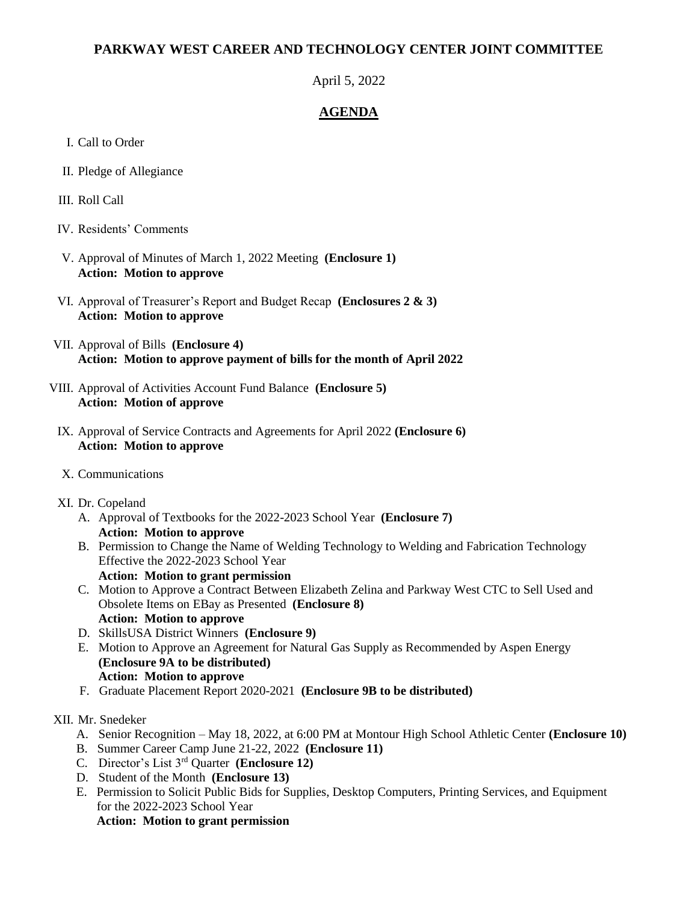## **PARKWAY WEST CAREER AND TECHNOLOGY CENTER JOINT COMMITTEE**

April 5, 2022

## **AGENDA**

- I. Call to Order
- II. Pledge of Allegiance
- III. Roll Call
- IV. Residents' Comments
- V. Approval of Minutes of March 1, 2022 Meeting **(Enclosure 1) Action: Motion to approve**
- VI. Approval of Treasurer's Report and Budget Recap **(Enclosures 2 & 3) Action: Motion to approve**
- VII. Approval of Bills **(Enclosure 4) Action: Motion to approve payment of bills for the month of April 2022**
- VIII. Approval of Activities Account Fund Balance **(Enclosure 5) Action: Motion of approve**
- IX. Approval of Service Contracts and Agreements for April 2022 **(Enclosure 6) Action: Motion to approve**
- X. Communications
- XI. Dr. Copeland
	- A. Approval of Textbooks for the 2022-2023 School Year **(Enclosure 7) Action: Motion to approve**
	- B. Permission to Change the Name of Welding Technology to Welding and Fabrication Technology Effective the 2022-2023 School Year **Action: Motion to grant permission**
	- C. Motion to Approve a Contract Between Elizabeth Zelina and Parkway West CTC to Sell Used and Obsolete Items on EBay as Presented **(Enclosure 8)**
	- **Action: Motion to approve** D. SkillsUSA District Winners **(Enclosure 9)**
	- E. Motion to Approve an Agreement for Natural Gas Supply as Recommended by Aspen Energy **(Enclosure 9A to be distributed) Action: Motion to approve**
	- F. Graduate Placement Report 2020-2021 **(Enclosure 9B to be distributed)**
- XII. Mr. Snedeker
	- A. Senior Recognition May 18, 2022, at 6:00 PM at Montour High School Athletic Center **(Enclosure 10)**
	- B. Summer Career Camp June 21-22, 2022 **(Enclosure 11)**
	- C. Director's List 3rd Quarter **(Enclosure 12)**
	- D. Student of the Month **(Enclosure 13)**
	- E. Permission to Solicit Public Bids for Supplies, Desktop Computers, Printing Services, and Equipment for the 2022-2023 School Year  **Action: Motion to grant permission**